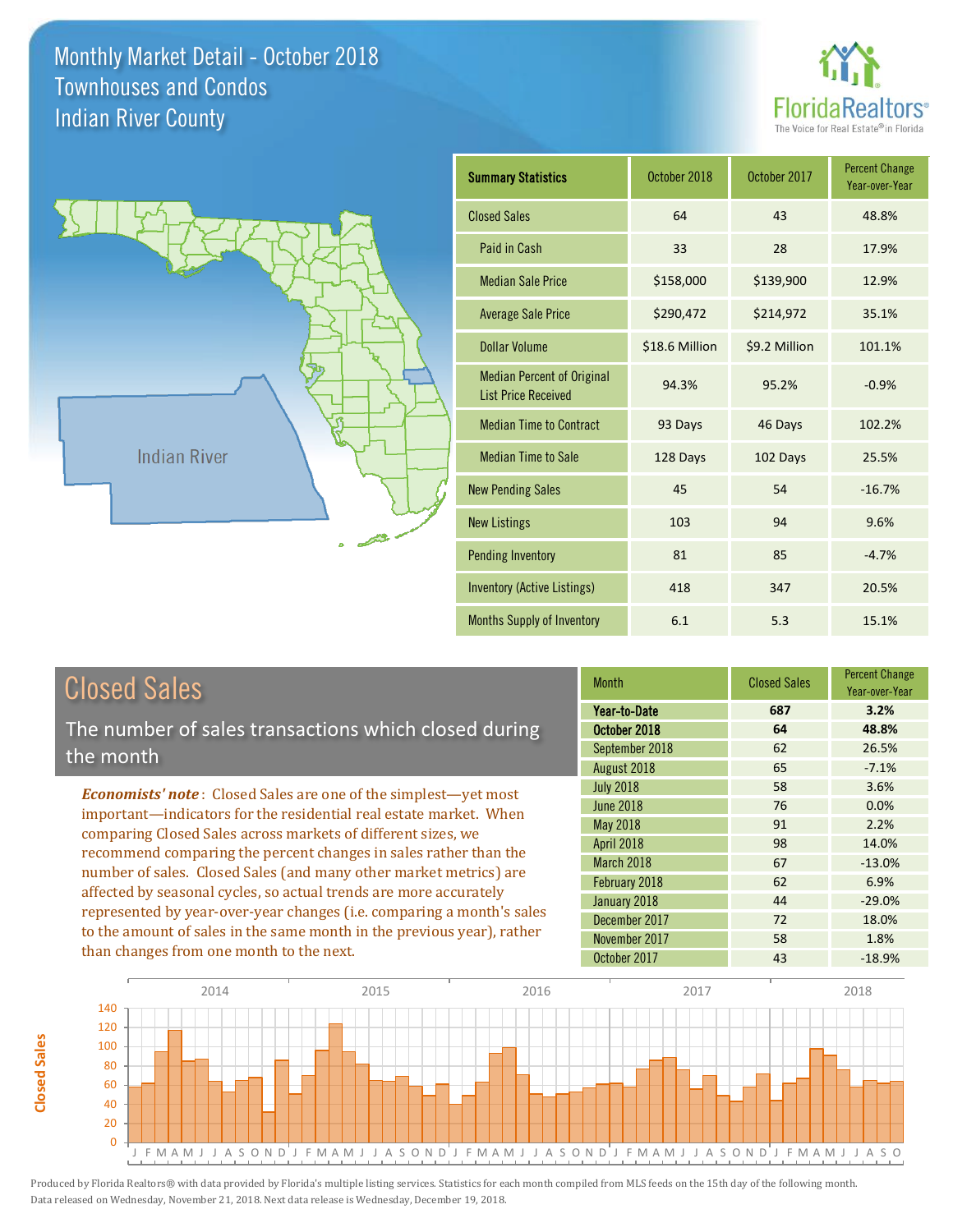



| <b>Closed Sales</b> |  |
|---------------------|--|
|                     |  |

**Closed Sales**

**Closed Sales** 

The number of sales transactions which closed during the month

*Economists' note* : Closed Sales are one of the simplest—yet most important—indicators for the residential real estate market. When comparing Closed Sales across markets of different sizes, we recommend comparing the percent changes in sales rather than the number of sales. Closed Sales (and many other market metrics) are affected by seasonal cycles, so actual trends are more accurately represented by year-over-year changes (i.e. comparing a month's sales to the amount of sales in the same month in the previous year), rather than changes from one month to the next.

| <b>Month</b>     | <b>Closed Sales</b> | <b>Percent Change</b><br>Year-over-Year |
|------------------|---------------------|-----------------------------------------|
| Year-to-Date     | 687                 | 3.2%                                    |
| October 2018     | 64                  | 48.8%                                   |
| September 2018   | 62                  | 26.5%                                   |
| August 2018      | 65                  | $-7.1%$                                 |
| <b>July 2018</b> | 58                  | 3.6%                                    |
| <b>June 2018</b> | 76                  | 0.0%                                    |
| <b>May 2018</b>  | 91                  | 2.2%                                    |
| April 2018       | 98                  | 14.0%                                   |
| March 2018       | 67                  | $-13.0%$                                |
| February 2018    | 62                  | 6.9%                                    |
| January 2018     | 44                  | $-29.0%$                                |
| December 2017    | 72                  | 18.0%                                   |
| November 2017    | 58                  | 1.8%                                    |
| October 2017     | 43                  | $-18.9%$                                |

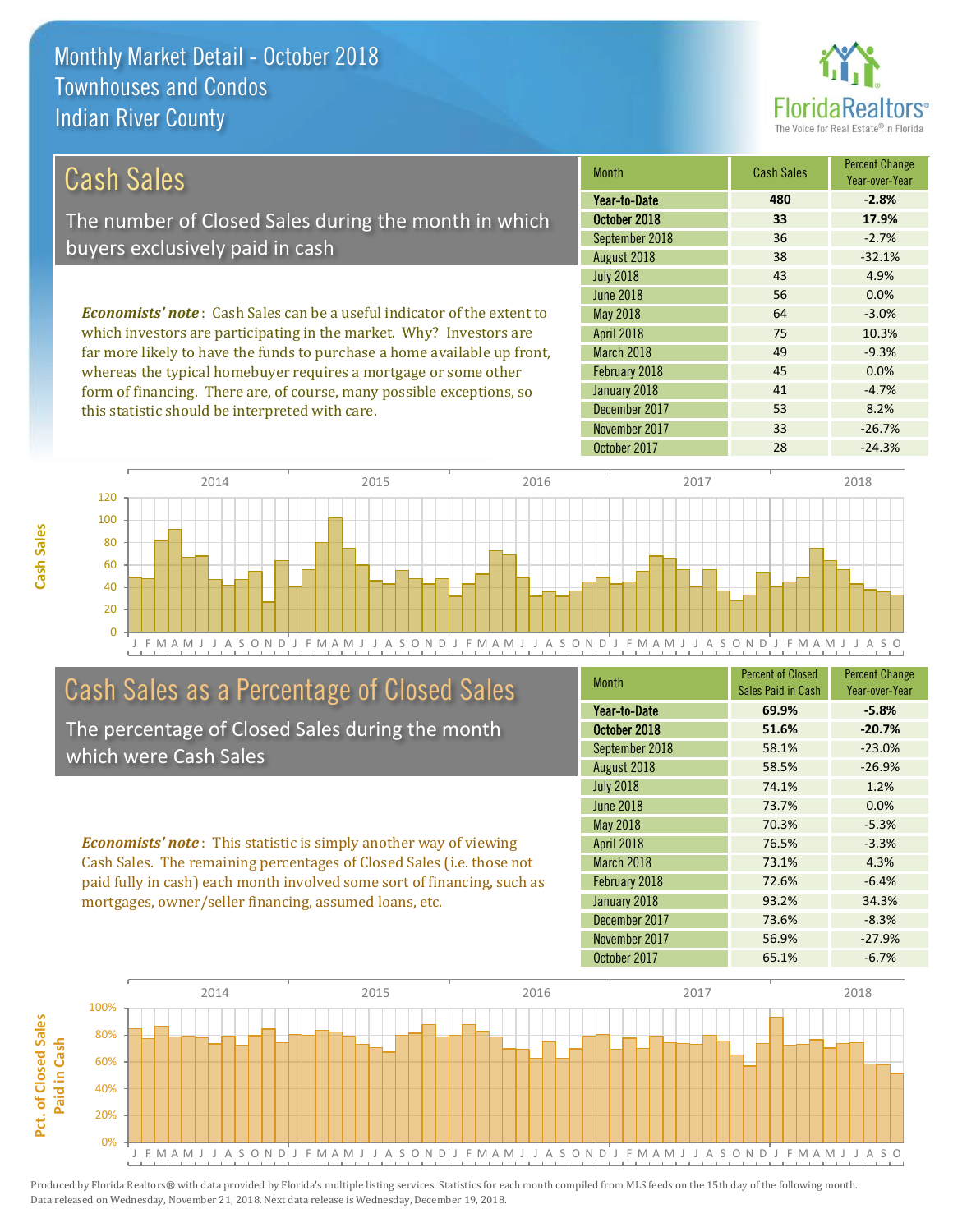this statistic should be interpreted with care.



53 8.2%

| Cash Sales                                                                     | <b>Month</b>      | <b>Cash Sales</b> | <b>Percent Change</b><br>Year-over-Year |
|--------------------------------------------------------------------------------|-------------------|-------------------|-----------------------------------------|
|                                                                                | Year-to-Date      | 480               | $-2.8%$                                 |
| The number of Closed Sales during the month in which                           | October 2018      | 33                | 17.9%                                   |
| buyers exclusively paid in cash                                                | September 2018    | 36                | $-2.7%$                                 |
|                                                                                | August 2018       | 38                | $-32.1%$                                |
|                                                                                | <b>July 2018</b>  | 43                | 4.9%                                    |
|                                                                                | June 2018         | 56                | 0.0%                                    |
| <b>Economists' note:</b> Cash Sales can be a useful indicator of the extent to | <b>May 2018</b>   | 64                | $-3.0%$                                 |
| which investors are participating in the market. Why? Investors are            | <b>April 2018</b> | 75                | 10.3%                                   |
| far more likely to have the funds to purchase a home available up front,       | March 2018        | 49                | $-9.3%$                                 |
| whereas the typical homebuyer requires a mortgage or some other                | February 2018     | 45                | 0.0%                                    |
| form of financing. There are, of course, many possible exceptions, so          | January 2018      | 41                | $-4.7%$                                 |

J F M A M J J A S O N D J F M A M J J A S O N D J F M A M J J A S O N D J F M A M J J A S O N D J F M A M J J A S O  $\Omega$ 20 40 60 80 100 120 2014 2015 2016 2016 2017 2018

## Cash Sales as a Percentage of Closed Sales

The percentage of Closed Sales during the month which were Cash Sales

*Economists' note* : This statistic is simply another way of viewing Cash Sales. The remaining percentages of Closed Sales (i.e. those not paid fully in cash) each month involved some sort of financing, such as mortgages, owner/seller financing, assumed loans, etc.

| <b>Month</b>     | <b>Percent of Closed</b> | <b>Percent Change</b> |
|------------------|--------------------------|-----------------------|
|                  | Sales Paid in Cash       | Year-over-Year        |
| Year-to-Date     | 69.9%                    | $-5.8%$               |
| October 2018     | 51.6%                    | $-20.7%$              |
| September 2018   | 58.1%                    | $-23.0%$              |
| August 2018      | 58.5%                    | $-26.9%$              |
| <b>July 2018</b> | 74.1%                    | 1.2%                  |
| <b>June 2018</b> | 73.7%                    | 0.0%                  |
| May 2018         | 70.3%                    | $-5.3%$               |
| April 2018       | 76.5%                    | $-3.3%$               |
| March 2018       | 73.1%                    | 4.3%                  |
| February 2018    | 72.6%                    | $-6.4%$               |
| January 2018     | 93.2%                    | 34.3%                 |
| December 2017    | 73.6%                    | $-8.3%$               |
| November 2017    | 56.9%                    | $-27.9%$              |
| October 2017     | 65.1%                    | $-6.7%$               |

October 2017 28 28 -24.3%

November 2017 **33** -26.7%

December 2017

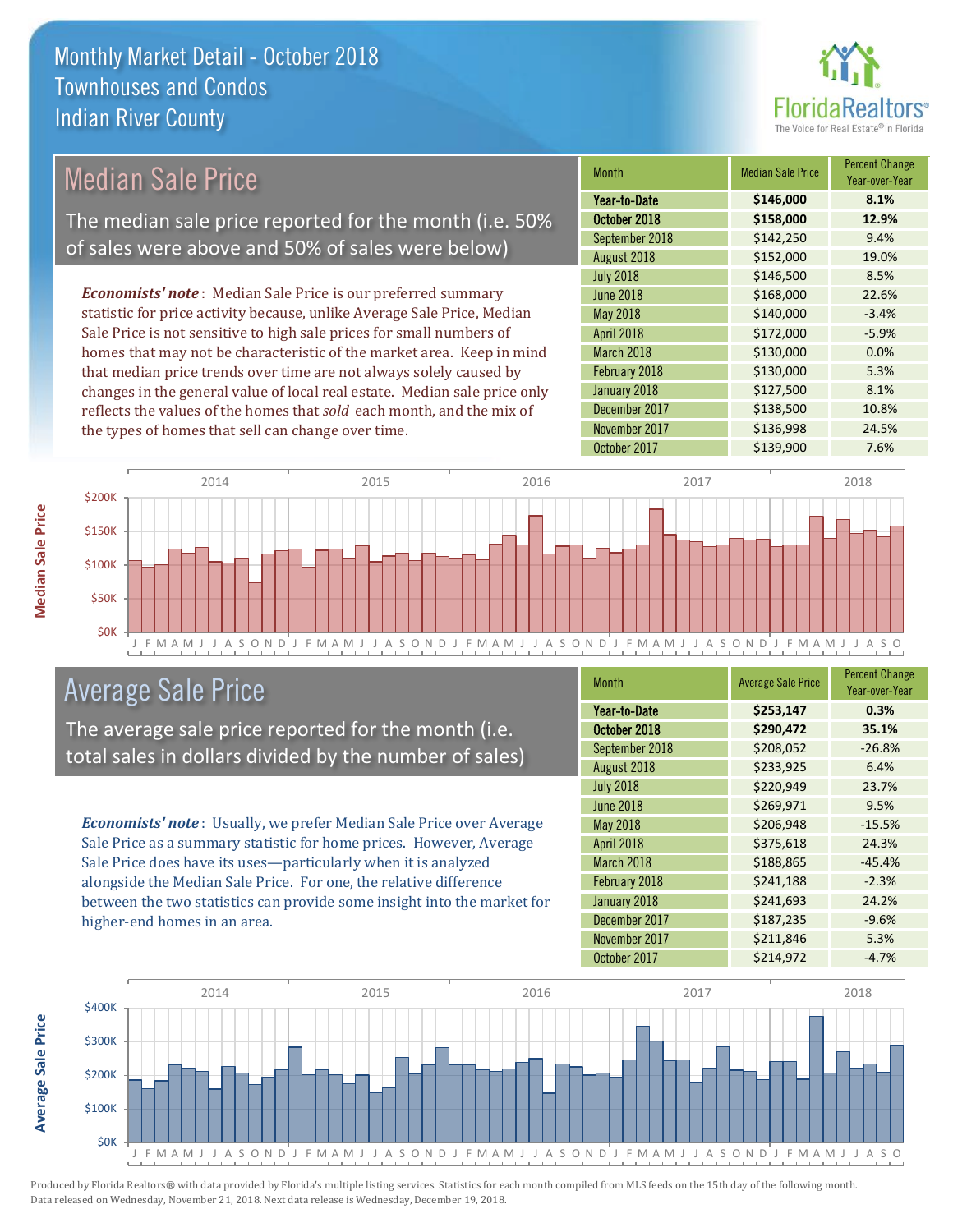

#### Month Median Sale Price Percent Change Year-over-Year October 2018 **\$158,000 12.9%** Year-to-Date **\$146,000 8.1%** March 2018 **\$130,000** 0.0% September 2018 **\$142,250** 9.4% August 2018 **\$152,000** 19.0% May 2018 **\$140,000** -3.4% April 2018 **\$172,000** -5.9% July 2018 **\$146,500** \$146,500 June 2018 **\$168,000** \$168,000 22.6% February 2018 **\$130,000** 5.3% January 2018 **\$127,500** 8.1% December 2017 **\$138,500** 10.8% November 2017 **\$136,998** 24.5% October 2017 **\$139,900** 7.6% *Economists' note* : Median Sale Price is our preferred summary statistic for price activity because, unlike Average Sale Price, Median Sale Price is not sensitive to high sale prices for small numbers of homes that may not be characteristic of the market area. Keep in mind that median price trends over time are not always solely caused by changes in the general value of local real estate. Median sale price only reflects the values of the homes that *sold* each month, and the mix of the types of homes that sell can change over time. \$200K 2014 2015 2016 2016 2017 2018 Median Sale Price The median sale price reported for the month (i.e. 50% of sales were above and 50% of sales were below)



# Average Sale Price

The average sale price reported for the month (i.e. total sales in dollars divided by the number of sales)

*Economists' note* : Usually, we prefer Median Sale Price over Average Sale Price as a summary statistic for home prices. However, Average Sale Price does have its uses—particularly when it is analyzed alongside the Median Sale Price. For one, the relative difference between the two statistics can provide some insight into the market for higher-end homes in an area.

| Month            | <b>Average Sale Price</b> | <b>Percent Change</b><br>Year-over-Year |
|------------------|---------------------------|-----------------------------------------|
| Year-to-Date     | \$253,147                 | 0.3%                                    |
| October 2018     | \$290,472                 | 35.1%                                   |
| September 2018   | \$208,052                 | $-26.8%$                                |
| August 2018      | \$233,925                 | 6.4%                                    |
| <b>July 2018</b> | \$220,949                 | 23.7%                                   |
| <b>June 2018</b> | \$269,971                 | 9.5%                                    |
| <b>May 2018</b>  | \$206,948                 | $-15.5%$                                |
| April 2018       | \$375,618                 | 24.3%                                   |
| March 2018       | \$188,865                 | $-45.4%$                                |
| February 2018    | \$241,188                 | $-2.3%$                                 |
| January 2018     | \$241,693                 | 24.2%                                   |
| December 2017    | \$187,235                 | $-9.6%$                                 |
| November 2017    | \$211,846                 | 5.3%                                    |
| October 2017     | \$214,972                 | $-4.7%$                                 |



Produced by Florida Realtors® with data provided by Florida's multiple listing services. Statistics for each month compiled from MLS feeds on the 15th day of the following month. Data released on Wednesday, November 21, 2018. Next data release is Wednesday, December 19, 2018.

**Average Sale Price**

**Average Sale Price**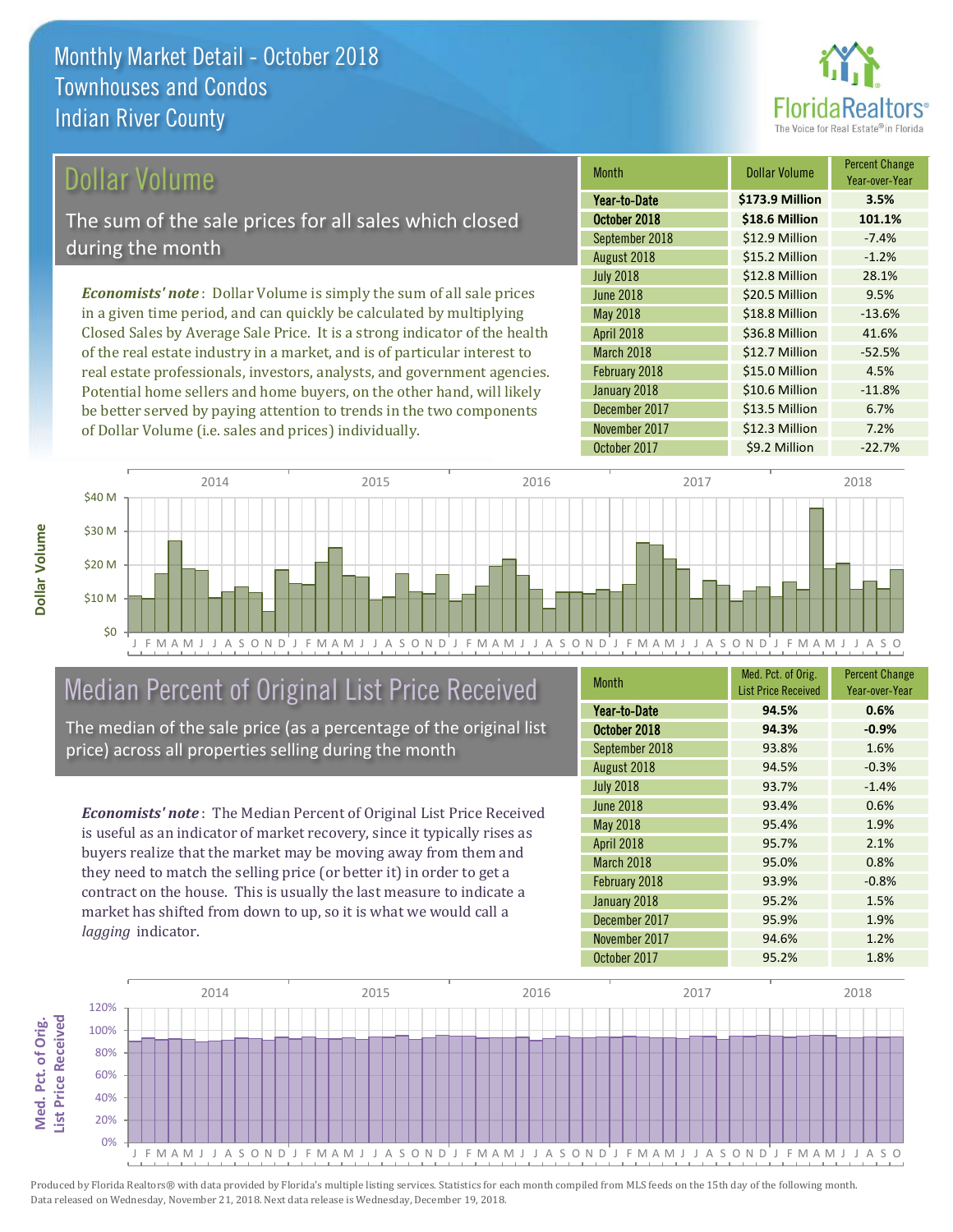

### Dollar Volume

The sum of the sale prices for all sales which closed during the month

*Economists' note* : Dollar Volume is simply the sum of all sale prices in a given time period, and can quickly be calculated by multiplying Closed Sales by Average Sale Price. It is a strong indicator of the health of the real estate industry in a market, and is of particular interest to real estate professionals, investors, analysts, and government agencies. Potential home sellers and home buyers, on the other hand, will likely be better served by paying attention to trends in the two components of Dollar Volume (i.e. sales and prices) individually.

| <b>Month</b>     | Dollar Volume   | <b>Percent Change</b><br>Year-over-Year |
|------------------|-----------------|-----------------------------------------|
| Year-to-Date     | \$173.9 Million | 3.5%                                    |
| October 2018     | \$18.6 Million  | 101.1%                                  |
| September 2018   | \$12.9 Million  | $-7.4%$                                 |
| August 2018      | \$15.2 Million  | $-1.2%$                                 |
| <b>July 2018</b> | \$12.8 Million  | 28.1%                                   |
| <b>June 2018</b> | \$20.5 Million  | 9.5%                                    |
| May 2018         | \$18.8 Million  | $-13.6%$                                |
| April 2018       | \$36.8 Million  | 41.6%                                   |
| March 2018       | \$12.7 Million  | $-52.5%$                                |
| February 2018    | \$15.0 Million  | 4.5%                                    |
| January 2018     | \$10.6 Million  | $-11.8%$                                |
| December 2017    | \$13.5 Million  | 6.7%                                    |
| November 2017    | \$12.3 Million  | 7.2%                                    |
| October 2017     | \$9.2 Million   | $-22.7%$                                |



# Median Percent of Original List Price Received

The median of the sale price (as a percentage of the original list price) across all properties selling during the month

*Economists' note* : The Median Percent of Original List Price Received is useful as an indicator of market recovery, since it typically rises as buyers realize that the market may be moving away from them and they need to match the selling price (or better it) in order to get a contract on the house. This is usually the last measure to indicate a market has shifted from down to up, so it is what we would call a *lagging* indicator.

| <b>Month</b>     | Med. Pct. of Orig.<br><b>List Price Received</b> | <b>Percent Change</b><br>Year-over-Year |
|------------------|--------------------------------------------------|-----------------------------------------|
| Year-to-Date     | 94.5%                                            | 0.6%                                    |
| October 2018     | 94.3%                                            | $-0.9%$                                 |
| September 2018   | 93.8%                                            | 1.6%                                    |
| August 2018      | 94.5%                                            | $-0.3%$                                 |
| <b>July 2018</b> | 93.7%                                            | $-1.4%$                                 |
| <b>June 2018</b> | 93.4%                                            | 0.6%                                    |
| May 2018         | 95.4%                                            | 1.9%                                    |
| April 2018       | 95.7%                                            | 2.1%                                    |
| March 2018       | 95.0%                                            | 0.8%                                    |
| February 2018    | 93.9%                                            | $-0.8%$                                 |
| January 2018     | 95.2%                                            | 1.5%                                    |
| December 2017    | 95.9%                                            | 1.9%                                    |
| November 2017    | 94.6%                                            | 1.2%                                    |
| October 2017     | 95.2%                                            | 1.8%                                    |

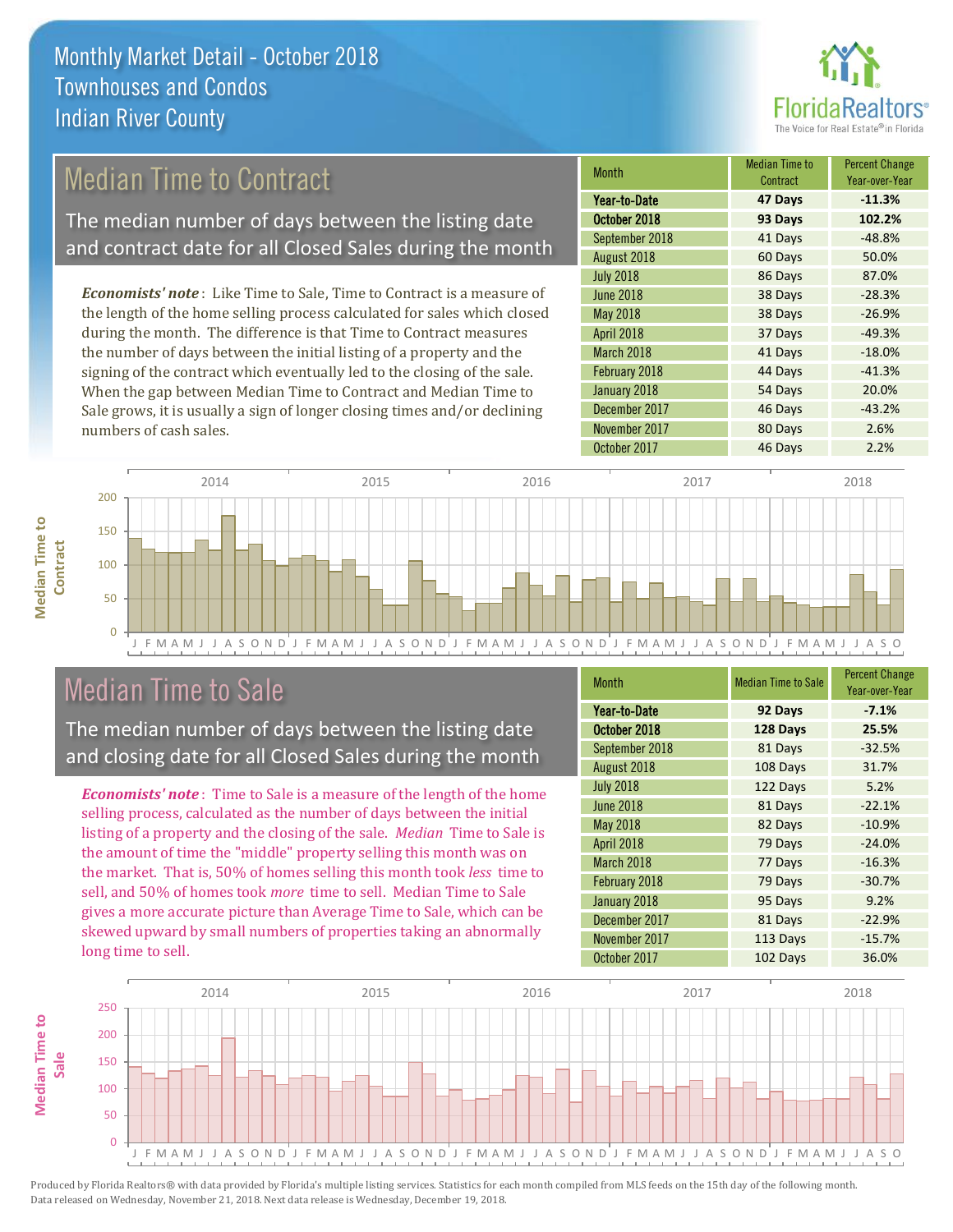

# Median Time to Contract

The median number of days between the listing date and contract date for all Closed Sales during the month

*Economists' note* : Like Time to Sale, Time to Contract is a measure of the length of the home selling process calculated for sales which closed during the month. The difference is that Time to Contract measures the number of days between the initial listing of a property and the signing of the contract which eventually led to the closing of the sale. When the gap between Median Time to Contract and Median Time to Sale grows, it is usually a sign of longer closing times and/or declining numbers of cash sales.

| <b>Month</b>      | <b>Median Time to</b><br>Contract | <b>Percent Change</b><br>Year-over-Year |
|-------------------|-----------------------------------|-----------------------------------------|
| Year-to-Date      | 47 Days                           | $-11.3%$                                |
| October 2018      | 93 Days                           | 102.2%                                  |
| September 2018    | 41 Days                           | $-48.8%$                                |
| August 2018       | 60 Days                           | 50.0%                                   |
| <b>July 2018</b>  | 86 Days                           | 87.0%                                   |
| <b>June 2018</b>  | 38 Days                           | $-28.3%$                                |
| <b>May 2018</b>   | 38 Days                           | $-26.9%$                                |
| <b>April 2018</b> | 37 Days                           | $-49.3%$                                |
| March 2018        | 41 Days                           | $-18.0%$                                |
| February 2018     | 44 Days                           | $-41.3%$                                |
| January 2018      | 54 Days                           | 20.0%                                   |
| December 2017     | 46 Days                           | $-43.2%$                                |
| November 2017     | 80 Days                           | 2.6%                                    |
| October 2017      | 46 Days                           | 2.2%                                    |



### Median Time to Sale

**Median Time to** 

**Median Time to** 

The median number of days between the listing date and closing date for all Closed Sales during the month

*Economists' note* : Time to Sale is a measure of the length of the home selling process, calculated as the number of days between the initial listing of a property and the closing of the sale. *Median* Time to Sale is the amount of time the "middle" property selling this month was on the market. That is, 50% of homes selling this month took *less* time to sell, and 50% of homes took *more* time to sell. Median Time to Sale gives a more accurate picture than Average Time to Sale, which can be skewed upward by small numbers of properties taking an abnormally long time to sell.

| <b>Month</b>     | <b>Median Time to Sale</b> | <b>Percent Change</b><br>Year-over-Year |
|------------------|----------------------------|-----------------------------------------|
| Year-to-Date     | 92 Days                    | $-7.1%$                                 |
| October 2018     | 128 Days                   | 25.5%                                   |
| September 2018   | 81 Days                    | $-32.5%$                                |
| August 2018      | 108 Days                   | 31.7%                                   |
| <b>July 2018</b> | 122 Days                   | 5.2%                                    |
| <b>June 2018</b> | 81 Days                    | $-22.1%$                                |
| <b>May 2018</b>  | 82 Days                    | $-10.9%$                                |
| April 2018       | 79 Days                    | $-24.0%$                                |
| March 2018       | 77 Days                    | $-16.3%$                                |
| February 2018    | 79 Days                    | $-30.7%$                                |
| January 2018     | 95 Days                    | 9.2%                                    |
| December 2017    | 81 Days                    | $-22.9%$                                |
| November 2017    | 113 Days                   | $-15.7%$                                |
| October 2017     | 102 Days                   | 36.0%                                   |

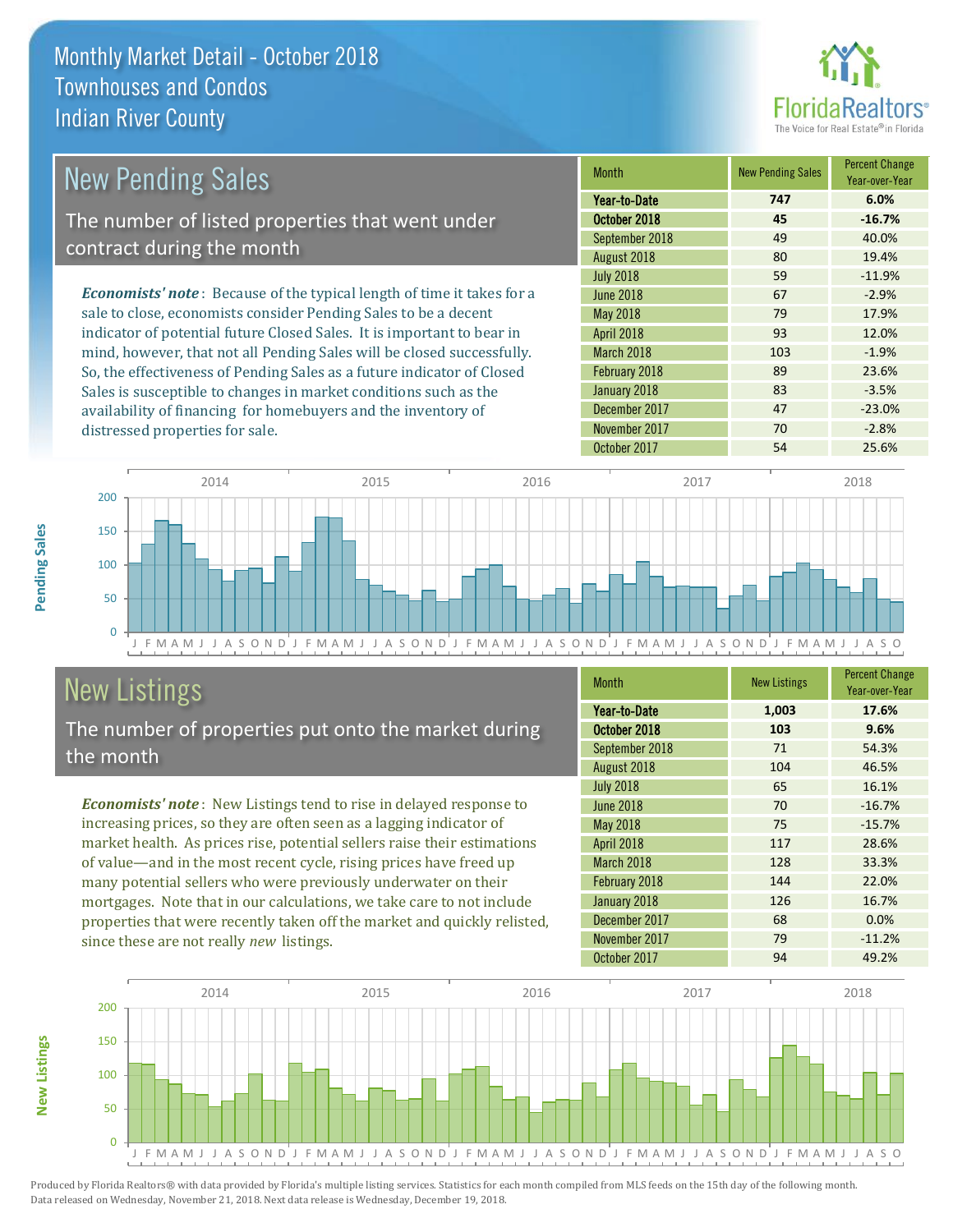

| <b>New Pending Sales</b>                                                       | <b>Month</b>      | <b>New Pending Sales</b> | <b>Percent Change</b><br>Year-over-Year |
|--------------------------------------------------------------------------------|-------------------|--------------------------|-----------------------------------------|
|                                                                                | Year-to-Date      | 747                      | 6.0%                                    |
| The number of listed properties that went under                                | October 2018      | 45                       | $-16.7%$                                |
|                                                                                | September 2018    | 49                       | 40.0%                                   |
| contract during the month                                                      | August 2018       | 80                       | 19.4%                                   |
|                                                                                | <b>July 2018</b>  | 59                       | $-11.9%$                                |
| <b>Economists' note</b> : Because of the typical length of time it takes for a | June 2018         | 67                       | $-2.9%$                                 |
| sale to close, economists consider Pending Sales to be a decent                | <b>May 2018</b>   | 79                       | 17.9%                                   |
| indicator of potential future Closed Sales. It is important to bear in         | <b>April 2018</b> | 93                       | 12.0%                                   |
| mind, however, that not all Pending Sales will be closed successfully.         | March 2018        | 103                      | $-1.9%$                                 |
| So, the effectiveness of Pending Sales as a future indicator of Closed         | February 2018     | 89                       | 23.6%                                   |
| Sales is susceptible to changes in market conditions such as the               | January 2018      | 83                       | $-3.5%$                                 |



# New Listings

distressed properties for sale.

The number of properties put onto the market during the month

availability of financing for homebuyers and the inventory of

*Economists' note* : New Listings tend to rise in delayed response to increasing prices, so they are often seen as a lagging indicator of market health. As prices rise, potential sellers raise their estimations of value—and in the most recent cycle, rising prices have freed up many potential sellers who were previously underwater on their mortgages. Note that in our calculations, we take care to not include properties that were recently taken off the market and quickly relisted, since these are not really *new* listings.

| Month            | <b>New Listings</b> | <b>Percent Change</b><br>Year-over-Year |
|------------------|---------------------|-----------------------------------------|
| Year-to-Date     | 1,003               | 17.6%                                   |
| October 2018     | 103                 | 9.6%                                    |
| September 2018   | 71                  | 54.3%                                   |
| August 2018      | 104                 | 46.5%                                   |
| <b>July 2018</b> | 65                  | 16.1%                                   |
| <b>June 2018</b> | 70                  | $-16.7%$                                |
| <b>May 2018</b>  | 75                  | $-15.7%$                                |
| April 2018       | 117                 | 28.6%                                   |
| March 2018       | 128                 | 33.3%                                   |
| February 2018    | 144                 | 22.0%                                   |
| January 2018     | 126                 | 16.7%                                   |
| December 2017    | 68                  | 0.0%                                    |
| November 2017    | 79                  | $-11.2%$                                |
| October 2017     | 94                  | 49.2%                                   |

December 2017 **47** -23.0% November 2017 **70** -2.8%



Produced by Florida Realtors® with data provided by Florida's multiple listing services. Statistics for each month compiled from MLS feeds on the 15th day of the following month. Data released on Wednesday, November 21, 2018. Next data release is Wednesday, December 19, 2018.

**New Listings**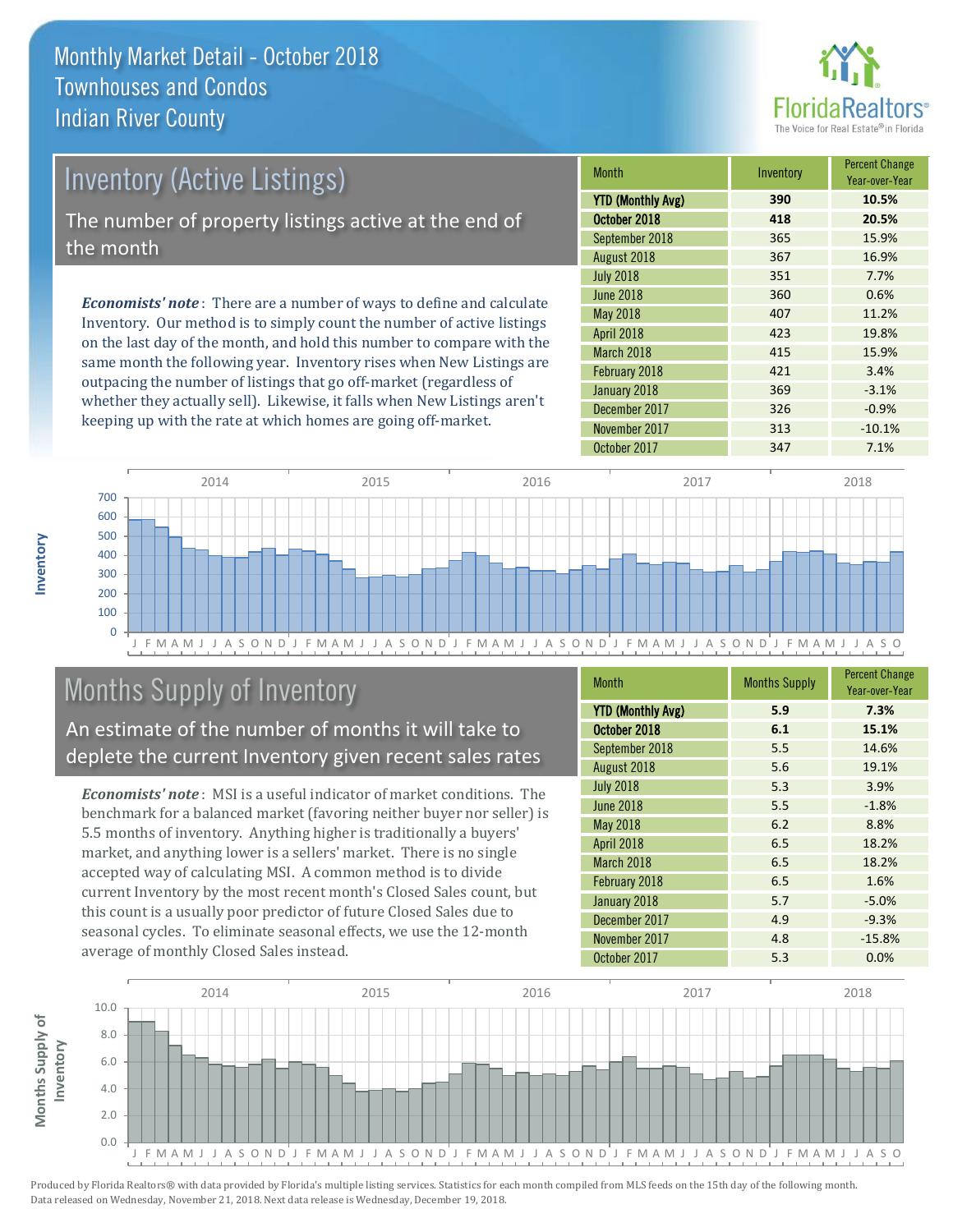

| <b>Inventory (Active Listings)</b>                                           | <b>Month</b>            |
|------------------------------------------------------------------------------|-------------------------|
|                                                                              | <b>YTD (Monthly Av)</b> |
| The number of property listings active at the end of                         | October 2018            |
| the month                                                                    |                         |
|                                                                              | August 2018             |
|                                                                              | <b>July 2018</b>        |
| <b>Economists' note</b> : There are a number of ways to define and calculate | June 2018               |
|                                                                              | $M = 0010$              |

Inventory. Our method is to simply count the number of active listings on the last day of the month, and hold this number to compare with the same month the following year. Inventory rises when New Listings are outpacing the number of listings that go off-market (regardless of whether they actually sell). Likewise, it falls when New Listings aren't keeping up with the rate at which homes are going off-market.

| <b>Month</b>             | Inventory | <b>Percent Change</b><br>Year-over-Year |
|--------------------------|-----------|-----------------------------------------|
| <b>YTD (Monthly Avg)</b> | 390       | 10.5%                                   |
| October 2018             | 418       | 20.5%                                   |
| September 2018           | 365       | 15.9%                                   |
| August 2018              | 367       | 16.9%                                   |
| <b>July 2018</b>         | 351       | 7.7%                                    |
| <b>June 2018</b>         | 360       | 0.6%                                    |
| May 2018                 | 407       | 11.2%                                   |
| April 2018               | 423       | 19.8%                                   |
| March 2018               | 415       | 15.9%                                   |
| February 2018            | 421       | 3.4%                                    |
| January 2018             | 369       | $-3.1%$                                 |
| December 2017            | 326       | $-0.9%$                                 |
| November 2017            | 313       | $-10.1%$                                |
| October 2017             | 347       | 7.1%                                    |



# Months Supply of Inventory

An estimate of the number of months it will take to deplete the current Inventory given recent sales rates

*Economists' note* : MSI is a useful indicator of market conditions. The benchmark for a balanced market (favoring neither buyer nor seller) is 5.5 months of inventory. Anything higher is traditionally a buyers' market, and anything lower is a sellers' market. There is no single accepted way of calculating MSI. A common method is to divide current Inventory by the most recent month's Closed Sales count, but this count is a usually poor predictor of future Closed Sales due to seasonal cycles. To eliminate seasonal effects, we use the 12-month average of monthly Closed Sales instead.

| <b>Month</b>             | <b>Months Supply</b> | <b>Percent Change</b><br>Year-over-Year |
|--------------------------|----------------------|-----------------------------------------|
| <b>YTD (Monthly Avg)</b> | 5.9                  | 7.3%                                    |
| October 2018             | 6.1                  | 15.1%                                   |
| September 2018           | 5.5                  | 14.6%                                   |
| August 2018              | 5.6                  | 19.1%                                   |
| <b>July 2018</b>         | 5.3                  | 3.9%                                    |
| <b>June 2018</b>         | 5.5                  | $-1.8%$                                 |
| May 2018                 | 6.2                  | 8.8%                                    |
| April 2018               | 6.5                  | 18.2%                                   |
| March 2018               | 6.5                  | 18.2%                                   |
| February 2018            | 6.5                  | 1.6%                                    |
| January 2018             | 5.7                  | $-5.0%$                                 |
| December 2017            | 4.9                  | $-9.3%$                                 |
| November 2017            | 4.8                  | $-15.8%$                                |
| October 2017             | 5.3                  | 0.0%                                    |

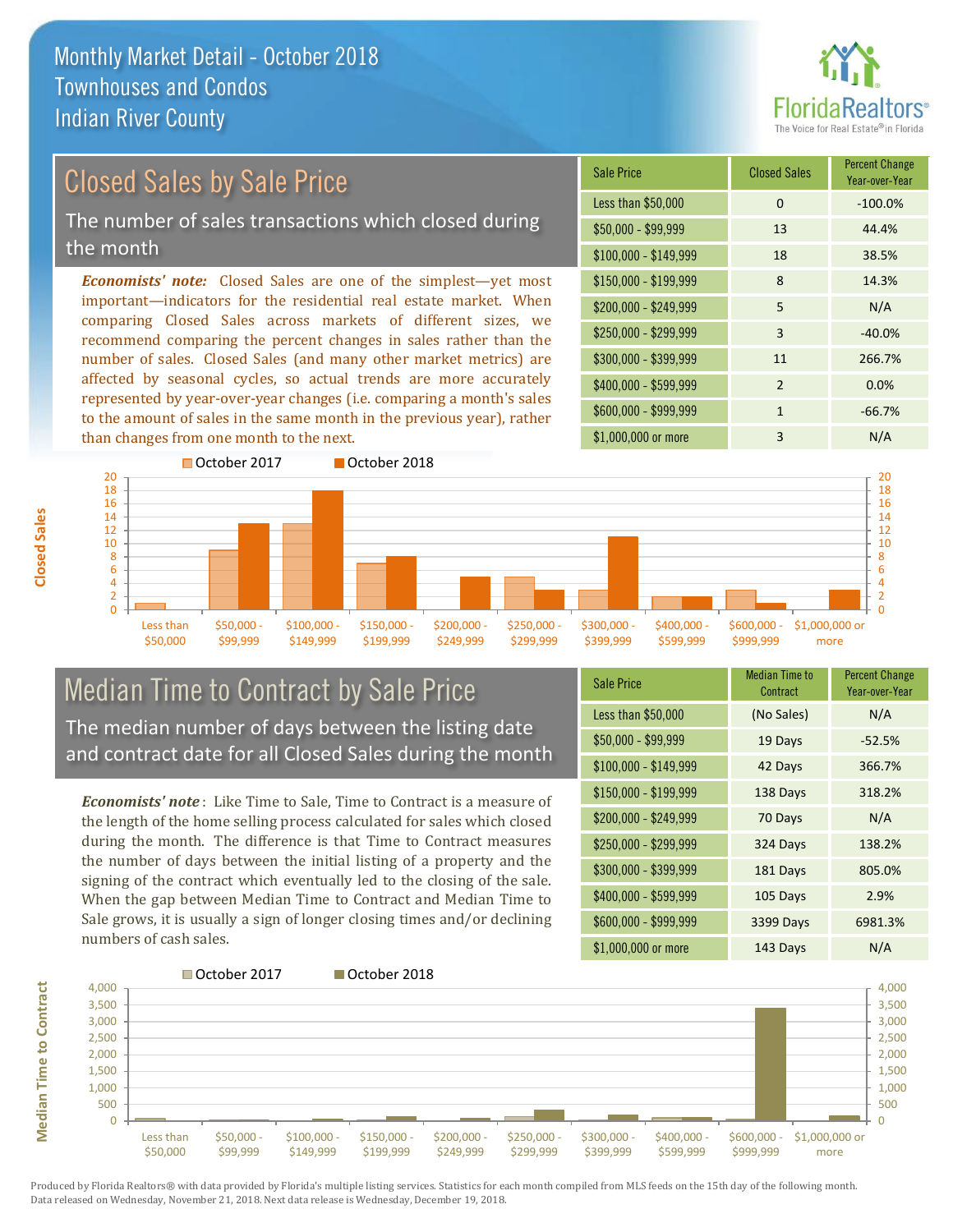

# Closed Sales by Sale Price

The number of sales transactions which closed during the month

*Economists' note:* Closed Sales are one of the simplest—yet most important—indicators for the residential real estate market. When comparing Closed Sales across markets of different sizes, we recommend comparing the percent changes in sales rather than the number of sales. Closed Sales (and many other market metrics) are affected by seasonal cycles, so actual trends are more accurately represented by year-over-year changes (i.e. comparing a month's sales to the amount of sales in the same month in the previous year), rather than changes from one month to the next.

| <b>Sale Price</b>     | <b>Closed Sales</b> | <b>Percent Change</b><br>Year-over-Year |
|-----------------------|---------------------|-----------------------------------------|
| Less than \$50,000    | $\Omega$            | $-100.0%$                               |
| \$50,000 - \$99,999   | 13                  | 44.4%                                   |
| $$100,000 - $149,999$ | 18                  | 38.5%                                   |
| $$150,000 - $199,999$ | 8                   | 14.3%                                   |
| \$200,000 - \$249,999 | 5                   | N/A                                     |
| \$250,000 - \$299,999 | 3                   | $-40.0%$                                |
| \$300,000 - \$399,999 | 11                  | 266.7%                                  |
| \$400,000 - \$599,999 | $\mathcal{P}$       | 0.0%                                    |
| \$600,000 - \$999,999 | 1                   | $-66.7%$                                |
| \$1,000,000 or more   | 3                   | N/A                                     |



### Median Time to Contract by Sale Price The median number of days between the listing date and contract date for all Closed Sales during the month

*Economists' note* : Like Time to Sale, Time to Contract is a measure of the length of the home selling process calculated for sales which closed during the month. The difference is that Time to Contract measures the number of days between the initial listing of a property and the signing of the contract which eventually led to the closing of the sale. When the gap between Median Time to Contract and Median Time to Sale grows, it is usually a sign of longer closing times and/or declining numbers of cash sales.

| <b>Sale Price</b>     | <b>Median Time to</b><br>Contract | <b>Percent Change</b><br>Year-over-Year |
|-----------------------|-----------------------------------|-----------------------------------------|
| Less than \$50,000    | (No Sales)                        | N/A                                     |
| $$50,000 - $99,999$   | 19 Days                           | $-52.5%$                                |
| $$100,000 - $149,999$ | 42 Days                           | 366.7%                                  |
| $$150,000 - $199,999$ | 138 Days                          | 318.2%                                  |
| \$200,000 - \$249,999 | 70 Days                           | N/A                                     |
| \$250,000 - \$299,999 | 324 Days                          | 138.2%                                  |
| \$300,000 - \$399,999 | 181 Days                          | 805.0%                                  |
| \$400,000 - \$599,999 | 105 Days                          | 2.9%                                    |
| \$600,000 - \$999,999 | 3399 Days                         | 6981.3%                                 |
| \$1,000,000 or more   | 143 Days                          | N/A                                     |

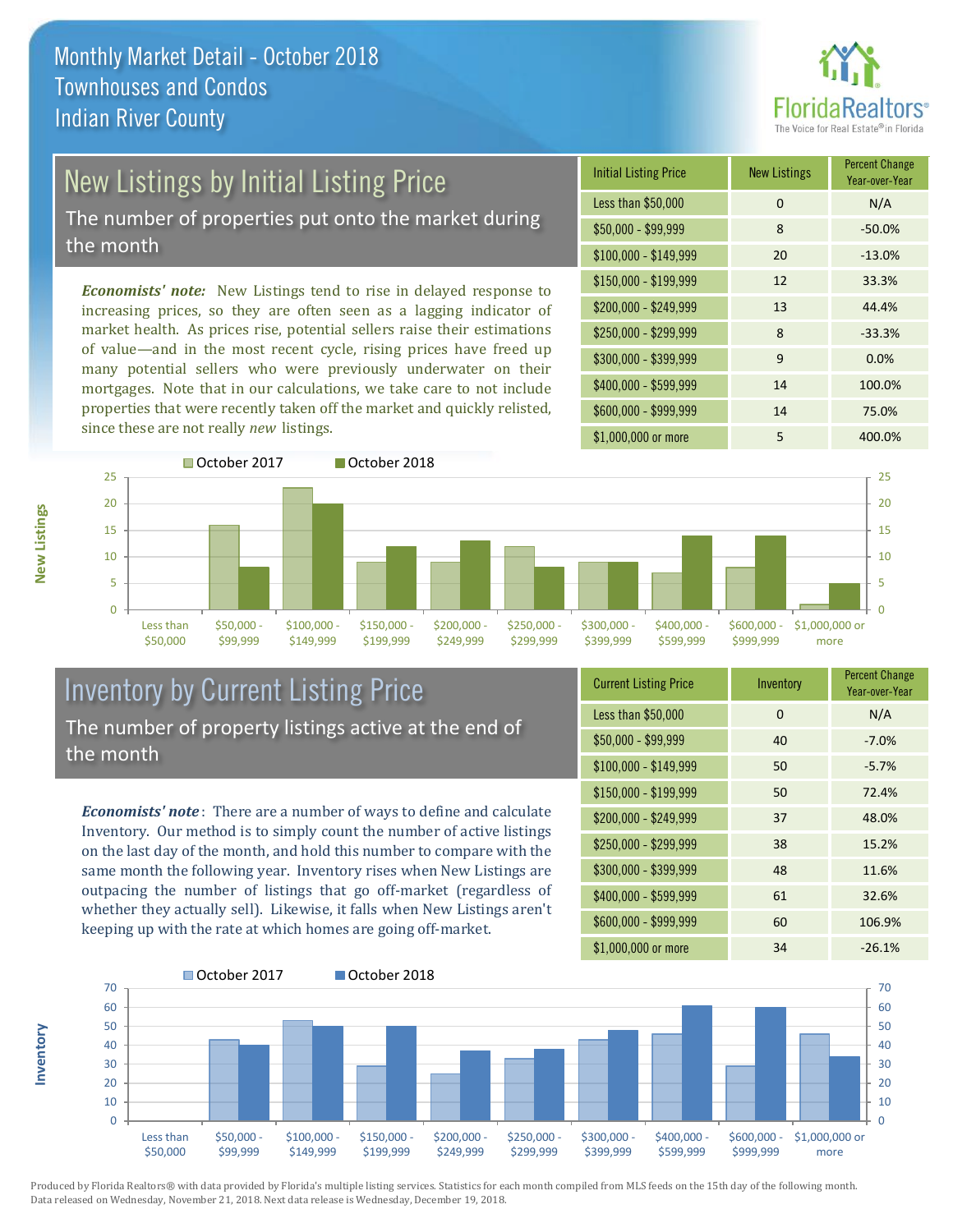

# New Listings by Initial Listing Price

The number of properties put onto the market during the month

*Economists' note:* New Listings tend to rise in delayed response to increasing prices, so they are often seen as a lagging indicator of market health. As prices rise, potential sellers raise their estimations of value—and in the most recent cycle, rising prices have freed up many potential sellers who were previously underwater on their mortgages. Note that in our calculations, we take care to not include properties that were recently taken off the market and quickly relisted, since these are not really *new* listings.

| <b>Initial Listing Price</b> | <b>New Listings</b> | <b>Percent Change</b><br>Year-over-Year |
|------------------------------|---------------------|-----------------------------------------|
| Less than \$50,000           | $\Omega$            | N/A                                     |
| \$50,000 - \$99,999          | 8                   | $-50.0%$                                |
| $$100,000 - $149,999$        | 20                  | $-13.0%$                                |
| $$150,000 - $199,999$        | 12                  | 33.3%                                   |
| \$200,000 - \$249,999        | 13                  | 44.4%                                   |
| \$250,000 - \$299,999        | 8                   | $-33.3%$                                |
| \$300,000 - \$399,999        | 9                   | 0.0%                                    |
| \$400,000 - \$599,999        | 14                  | 100.0%                                  |
| \$600,000 - \$999,999        | 14                  | 75.0%                                   |
| \$1,000,000 or more          | 5                   | 400.0%                                  |



### Inventory by Current Listing Price The number of property listings active at the end of the month

*Economists' note* : There are a number of ways to define and calculate Inventory. Our method is to simply count the number of active listings on the last day of the month, and hold this number to compare with the same month the following year. Inventory rises when New Listings are outpacing the number of listings that go off-market (regardless of whether they actually sell). Likewise, it falls when New Listings aren't keeping up with the rate at which homes are going off-market.

| <b>Current Listing Price</b> | Inventory | <b>Percent Change</b><br>Year-over-Year |
|------------------------------|-----------|-----------------------------------------|
| Less than \$50,000           | $\Omega$  | N/A                                     |
| \$50,000 - \$99,999          | 40        | $-7.0%$                                 |
| $$100,000 - $149,999$        | 50        | $-5.7%$                                 |
| $$150,000 - $199,999$        | 50        | 72.4%                                   |
| \$200,000 - \$249,999        | 37        | 48.0%                                   |
| \$250,000 - \$299,999        | 38        | 15.2%                                   |
| \$300,000 - \$399,999        | 48        | 11.6%                                   |
| \$400,000 - \$599,999        | 61        | 32.6%                                   |
| \$600,000 - \$999,999        | 60        | 106.9%                                  |
| \$1,000,000 or more          | 34        | $-26.1%$                                |



Produced by Florida Realtors® with data provided by Florida's multiple listing services. Statistics for each month compiled from MLS feeds on the 15th day of the following month. Data released on Wednesday, November 21, 2018. Next data release is Wednesday, December 19, 2018.

**Inventory**